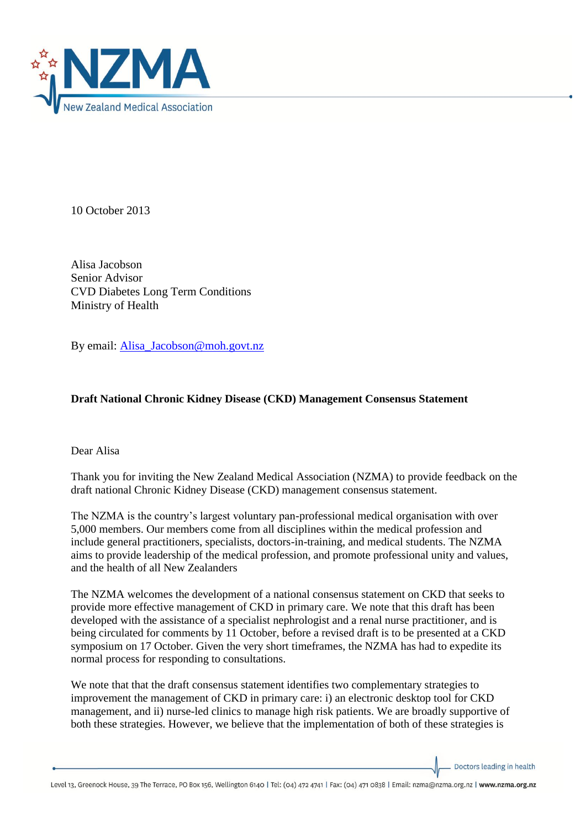

10 October 2013

Alisa Jacobson Senior Advisor CVD Diabetes Long Term Conditions Ministry of Health

By email: [Alisa\\_Jacobson@moh.govt.nz](mailto:Alisa_Jacobson@moh.govt.nz)

## **Draft National Chronic Kidney Disease (CKD) Management Consensus Statement**

Dear Alisa

Thank you for inviting the New Zealand Medical Association (NZMA) to provide feedback on the draft national Chronic Kidney Disease (CKD) management consensus statement.

The NZMA is the country's largest voluntary pan-professional medical organisation with over 5,000 members. Our members come from all disciplines within the medical profession and include general practitioners, specialists, doctors-in-training, and medical students. The NZMA aims to provide leadership of the medical profession, and promote professional unity and values, and the health of all New Zealanders

The NZMA welcomes the development of a national consensus statement on CKD that seeks to provide more effective management of CKD in primary care. We note that this draft has been developed with the assistance of a specialist nephrologist and a renal nurse practitioner, and is being circulated for comments by 11 October, before a revised draft is to be presented at a CKD symposium on 17 October. Given the very short timeframes, the NZMA has had to expedite its normal process for responding to consultations.

We note that that the draft consensus statement identifies two complementary strategies to improvement the management of CKD in primary care: i) an electronic desktop tool for CKD management, and ii) nurse-led clinics to manage high risk patients. We are broadly supportive of both these strategies. However, we believe that the implementation of both of these strategies is

Doctors leading in health